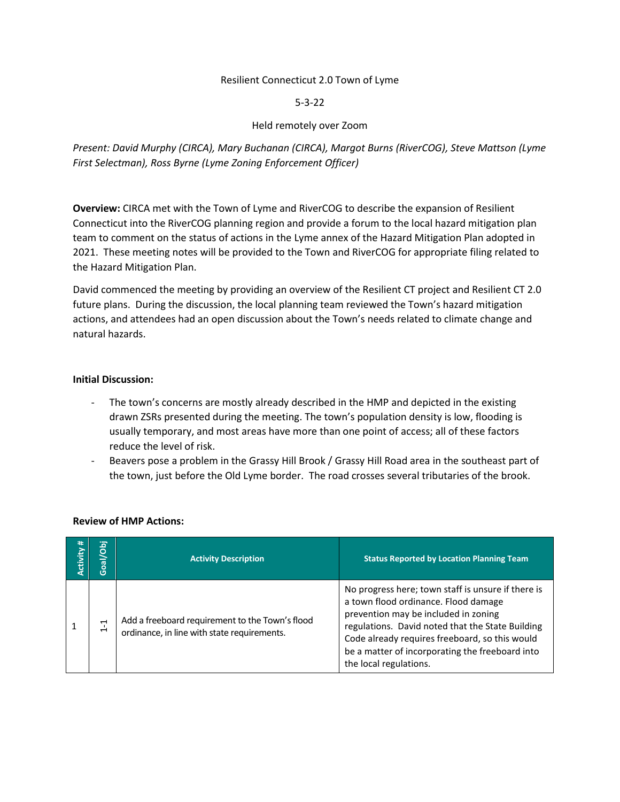## Resilient Connecticut 2.0 Town of Lyme

## 5-3-22

# Held remotely over Zoom

*Present: David Murphy (CIRCA), Mary Buchanan (CIRCA), Margot Burns (RiverCOG), Steve Mattson (Lyme First Selectman), Ross Byrne (Lyme Zoning Enforcement Officer)*

**Overview:** CIRCA met with the Town of Lyme and RiverCOG to describe the expansion of Resilient Connecticut into the RiverCOG planning region and provide a forum to the local hazard mitigation plan team to comment on the status of actions in the Lyme annex of the Hazard Mitigation Plan adopted in 2021. These meeting notes will be provided to the Town and RiverCOG for appropriate filing related to the Hazard Mitigation Plan.

David commenced the meeting by providing an overview of the Resilient CT project and Resilient CT 2.0 future plans. During the discussion, the local planning team reviewed the Town's hazard mitigation actions, and attendees had an open discussion about the Town's needs related to climate change and natural hazards.

#### **Initial Discussion:**

- The town's concerns are mostly already described in the HMP and depicted in the existing drawn ZSRs presented during the meeting. The town's population density is low, flooding is usually temporary, and most areas have more than one point of access; all of these factors reduce the level of risk.
- Beavers pose a problem in the Grassy Hill Brook / Grassy Hill Road area in the southeast part of the town, just before the Old Lyme border. The road crosses several tributaries of the brook.

| ₩<br>Activity | Goal/Obj                                                | <b>Activity Description</b>                                                                    | <b>Status Reported by Location Planning Team</b>                                                                                                                                                                                                                                                                      |
|---------------|---------------------------------------------------------|------------------------------------------------------------------------------------------------|-----------------------------------------------------------------------------------------------------------------------------------------------------------------------------------------------------------------------------------------------------------------------------------------------------------------------|
|               | $\mathbf{\mathbf{\mathsf{H}}}$<br>$\mathord{\text{--}}$ | Add a freeboard requirement to the Town's flood<br>ordinance, in line with state requirements. | No progress here; town staff is unsure if there is<br>a town flood ordinance. Flood damage<br>prevention may be included in zoning<br>regulations. David noted that the State Building<br>Code already requires freeboard, so this would<br>be a matter of incorporating the freeboard into<br>the local regulations. |

## **Review of HMP Actions:**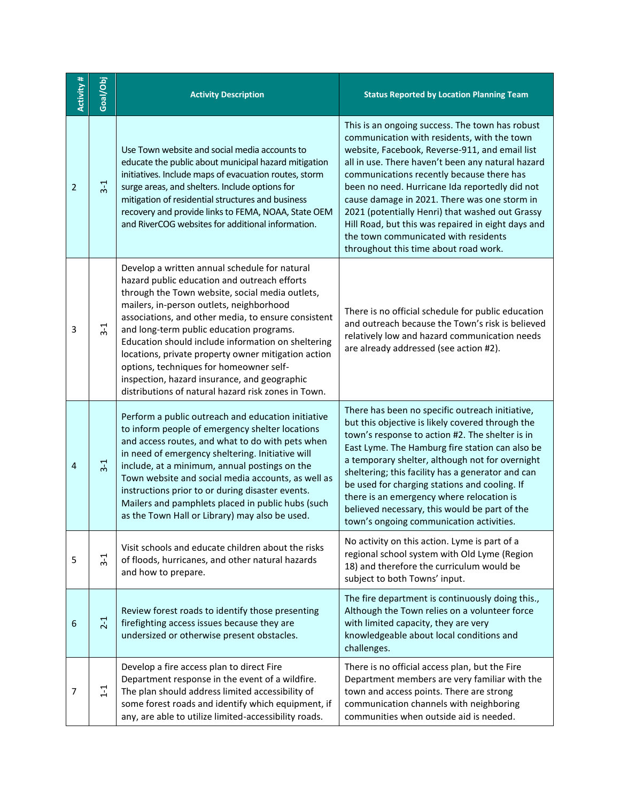| Activity #     | Goal/Obj      | <b>Activity Description</b>                                                                                                                                                                                                                                                                                                                                                                                                                                                                                                                                    | <b>Status Reported by Location Planning Team</b>                                                                                                                                                                                                                                                                                                                                                                                                                                                                                               |
|----------------|---------------|----------------------------------------------------------------------------------------------------------------------------------------------------------------------------------------------------------------------------------------------------------------------------------------------------------------------------------------------------------------------------------------------------------------------------------------------------------------------------------------------------------------------------------------------------------------|------------------------------------------------------------------------------------------------------------------------------------------------------------------------------------------------------------------------------------------------------------------------------------------------------------------------------------------------------------------------------------------------------------------------------------------------------------------------------------------------------------------------------------------------|
| $\overline{2}$ | $3 - 1$       | Use Town website and social media accounts to<br>educate the public about municipal hazard mitigation<br>initiatives. Include maps of evacuation routes, storm<br>surge areas, and shelters. Include options for<br>mitigation of residential structures and business<br>recovery and provide links to FEMA, NOAA, State OEM<br>and RiverCOG websites for additional information.                                                                                                                                                                              | This is an ongoing success. The town has robust<br>communication with residents, with the town<br>website, Facebook, Reverse-911, and email list<br>all in use. There haven't been any natural hazard<br>communications recently because there has<br>been no need. Hurricane Ida reportedly did not<br>cause damage in 2021. There was one storm in<br>2021 (potentially Henri) that washed out Grassy<br>Hill Road, but this was repaired in eight days and<br>the town communicated with residents<br>throughout this time about road work. |
| 3              | $3-1$         | Develop a written annual schedule for natural<br>hazard public education and outreach efforts<br>through the Town website, social media outlets,<br>mailers, in-person outlets, neighborhood<br>associations, and other media, to ensure consistent<br>and long-term public education programs.<br>Education should include information on sheltering<br>locations, private property owner mitigation action<br>options, techniques for homeowner self-<br>inspection, hazard insurance, and geographic<br>distributions of natural hazard risk zones in Town. | There is no official schedule for public education<br>and outreach because the Town's risk is believed<br>relatively low and hazard communication needs<br>are already addressed (see action #2).                                                                                                                                                                                                                                                                                                                                              |
| 4              | $3-1$         | Perform a public outreach and education initiative<br>to inform people of emergency shelter locations<br>and access routes, and what to do with pets when<br>in need of emergency sheltering. Initiative will<br>include, at a minimum, annual postings on the<br>Town website and social media accounts, as well as<br>instructions prior to or during disaster events.<br>Mailers and pamphlets placed in public hubs (such<br>as the Town Hall or Library) may also be used.                                                                                | There has been no specific outreach initiative,<br>but this objective is likely covered through the<br>town's response to action #2. The shelter is in<br>East Lyme. The Hamburg fire station can also be<br>a temporary shelter, although not for overnight<br>sheltering; this facility has a generator and can<br>be used for charging stations and cooling. If<br>there is an emergency where relocation is<br>believed necessary, this would be part of the<br>town's ongoing communication activities.                                   |
| 5              | $3-1$         | Visit schools and educate children about the risks<br>of floods, hurricanes, and other natural hazards<br>and how to prepare.                                                                                                                                                                                                                                                                                                                                                                                                                                  | No activity on this action. Lyme is part of a<br>regional school system with Old Lyme (Region<br>18) and therefore the curriculum would be<br>subject to both Towns' input.                                                                                                                                                                                                                                                                                                                                                                    |
| 6              | $2-1$         | Review forest roads to identify those presenting<br>firefighting access issues because they are<br>undersized or otherwise present obstacles.                                                                                                                                                                                                                                                                                                                                                                                                                  | The fire department is continuously doing this.,<br>Although the Town relies on a volunteer force<br>with limited capacity, they are very<br>knowledgeable about local conditions and<br>challenges.                                                                                                                                                                                                                                                                                                                                           |
| 7              | $\frac{1}{1}$ | Develop a fire access plan to direct Fire<br>Department response in the event of a wildfire.<br>The plan should address limited accessibility of<br>some forest roads and identify which equipment, if<br>any, are able to utilize limited-accessibility roads.                                                                                                                                                                                                                                                                                                | There is no official access plan, but the Fire<br>Department members are very familiar with the<br>town and access points. There are strong<br>communication channels with neighboring<br>communities when outside aid is needed.                                                                                                                                                                                                                                                                                                              |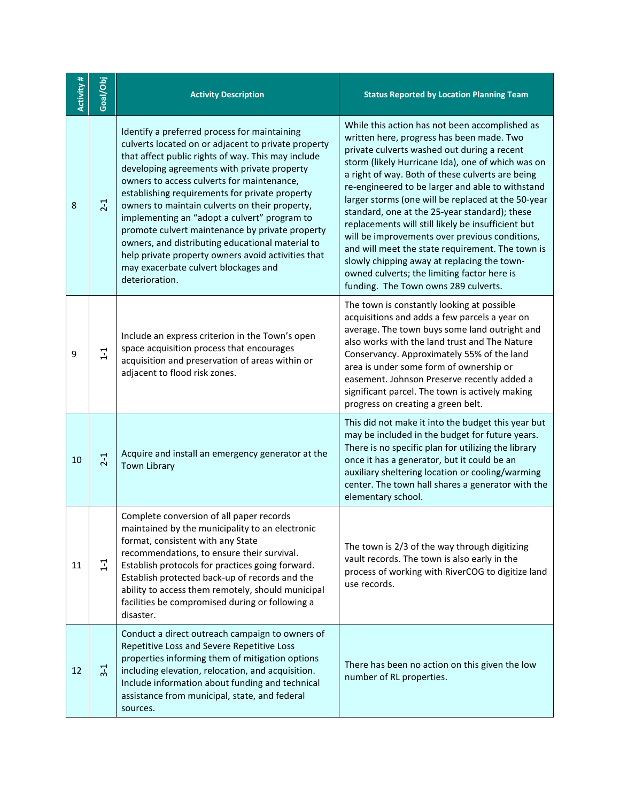| Activity # | Goal/Obj          | <b>Activity Description</b>                                                                                                                                                                                                                                                                                                                                                                                                                                                                                                                                                                                                       | <b>Status Reported by Location Planning Team</b>                                                                                                                                                                                                                                                                                                                                                                                                                                                                                                                                                                                                                                                                 |
|------------|-------------------|-----------------------------------------------------------------------------------------------------------------------------------------------------------------------------------------------------------------------------------------------------------------------------------------------------------------------------------------------------------------------------------------------------------------------------------------------------------------------------------------------------------------------------------------------------------------------------------------------------------------------------------|------------------------------------------------------------------------------------------------------------------------------------------------------------------------------------------------------------------------------------------------------------------------------------------------------------------------------------------------------------------------------------------------------------------------------------------------------------------------------------------------------------------------------------------------------------------------------------------------------------------------------------------------------------------------------------------------------------------|
| 8          | $2-1$             | Identify a preferred process for maintaining<br>culverts located on or adjacent to private property<br>that affect public rights of way. This may include<br>developing agreements with private property<br>owners to access culverts for maintenance,<br>establishing requirements for private property<br>owners to maintain culverts on their property,<br>implementing an "adopt a culvert" program to<br>promote culvert maintenance by private property<br>owners, and distributing educational material to<br>help private property owners avoid activities that<br>may exacerbate culvert blockages and<br>deterioration. | While this action has not been accomplished as<br>written here, progress has been made. Two<br>private culverts washed out during a recent<br>storm (likely Hurricane Ida), one of which was on<br>a right of way. Both of these culverts are being<br>re-engineered to be larger and able to withstand<br>larger storms (one will be replaced at the 50-year<br>standard, one at the 25-year standard); these<br>replacements will still likely be insufficient but<br>will be improvements over previous conditions,<br>and will meet the state requirement. The town is<br>slowly chipping away at replacing the town-<br>owned culverts; the limiting factor here is<br>funding. The Town owns 289 culverts. |
| 9          | $1 - 1$           | Include an express criterion in the Town's open<br>space acquisition process that encourages<br>acquisition and preservation of areas within or<br>adjacent to flood risk zones.                                                                                                                                                                                                                                                                                                                                                                                                                                                  | The town is constantly looking at possible<br>acquisitions and adds a few parcels a year on<br>average. The town buys some land outright and<br>also works with the land trust and The Nature<br>Conservancy. Approximately 55% of the land<br>area is under some form of ownership or<br>easement. Johnson Preserve recently added a<br>significant parcel. The town is actively making<br>progress on creating a green belt.                                                                                                                                                                                                                                                                                   |
| 10         | $2 - 1$           | Acquire and install an emergency generator at the<br><b>Town Library</b>                                                                                                                                                                                                                                                                                                                                                                                                                                                                                                                                                          | This did not make it into the budget this year but<br>may be included in the budget for future years.<br>There is no specific plan for utilizing the library<br>once it has a generator, but it could be an<br>auxiliary sheltering location or cooling/warming<br>center. The town hall shares a generator with the<br>elementary school.                                                                                                                                                                                                                                                                                                                                                                       |
| 11         | $\overline{1}$ -1 | Complete conversion of all paper records<br>maintained by the municipality to an electronic<br>format, consistent with any State<br>recommendations, to ensure their survival.<br>Establish protocols for practices going forward.<br>Establish protected back-up of records and the<br>ability to access them remotely, should municipal<br>facilities be compromised during or following a<br>disaster.                                                                                                                                                                                                                         | The town is 2/3 of the way through digitizing<br>vault records. The town is also early in the<br>process of working with RiverCOG to digitize land<br>use records.                                                                                                                                                                                                                                                                                                                                                                                                                                                                                                                                               |
| 12         | $3 - 1$           | Conduct a direct outreach campaign to owners of<br>Repetitive Loss and Severe Repetitive Loss<br>properties informing them of mitigation options<br>including elevation, relocation, and acquisition.<br>Include information about funding and technical<br>assistance from municipal, state, and federal<br>sources.                                                                                                                                                                                                                                                                                                             | There has been no action on this given the low<br>number of RL properties.                                                                                                                                                                                                                                                                                                                                                                                                                                                                                                                                                                                                                                       |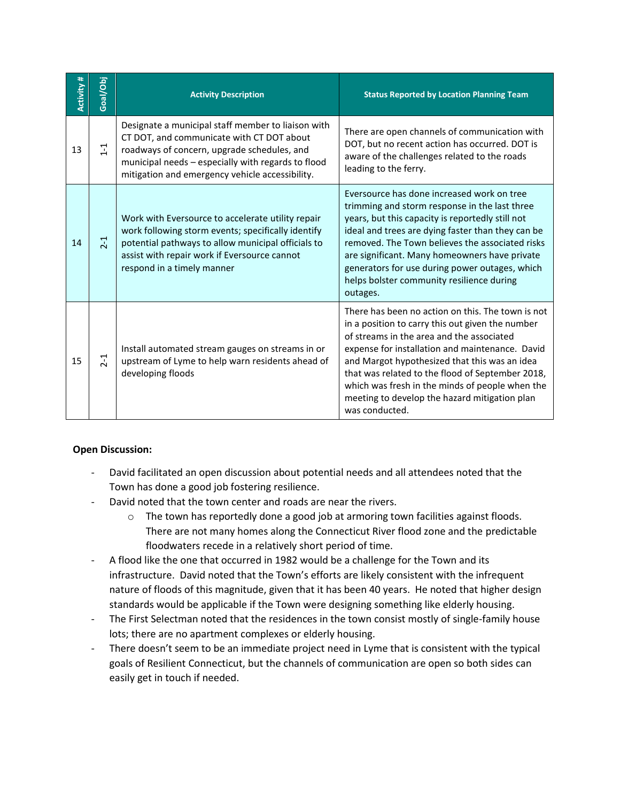| <b>Activity #</b> | Goal/Obj | <b>Activity Description</b>                                                                                                                                                                                                                             | <b>Status Reported by Location Planning Team</b>                                                                                                                                                                                                                                                                                                                                                                                 |
|-------------------|----------|---------------------------------------------------------------------------------------------------------------------------------------------------------------------------------------------------------------------------------------------------------|----------------------------------------------------------------------------------------------------------------------------------------------------------------------------------------------------------------------------------------------------------------------------------------------------------------------------------------------------------------------------------------------------------------------------------|
| 13                | $\Xi$    | Designate a municipal staff member to liaison with<br>CT DOT, and communicate with CT DOT about<br>roadways of concern, upgrade schedules, and<br>municipal needs - especially with regards to flood<br>mitigation and emergency vehicle accessibility. | There are open channels of communication with<br>DOT, but no recent action has occurred. DOT is<br>aware of the challenges related to the roads<br>leading to the ferry.                                                                                                                                                                                                                                                         |
| 14                | $2-1$    | Work with Eversource to accelerate utility repair<br>work following storm events; specifically identify<br>potential pathways to allow municipal officials to<br>assist with repair work if Eversource cannot<br>respond in a timely manner             | Eversource has done increased work on tree<br>trimming and storm response in the last three<br>years, but this capacity is reportedly still not<br>ideal and trees are dying faster than they can be<br>removed. The Town believes the associated risks<br>are significant. Many homeowners have private<br>generators for use during power outages, which<br>helps bolster community resilience during<br>outages.              |
| 15                | $2 - 1$  | Install automated stream gauges on streams in or<br>upstream of Lyme to help warn residents ahead of<br>developing floods                                                                                                                               | There has been no action on this. The town is not<br>in a position to carry this out given the number<br>of streams in the area and the associated<br>expense for installation and maintenance. David<br>and Margot hypothesized that this was an idea<br>that was related to the flood of September 2018,<br>which was fresh in the minds of people when the<br>meeting to develop the hazard mitigation plan<br>was conducted. |

# **Open Discussion:**

- David facilitated an open discussion about potential needs and all attendees noted that the Town has done a good job fostering resilience.
- David noted that the town center and roads are near the rivers.
	- $\circ$  The town has reportedly done a good job at armoring town facilities against floods. There are not many homes along the Connecticut River flood zone and the predictable floodwaters recede in a relatively short period of time.
- A flood like the one that occurred in 1982 would be a challenge for the Town and its infrastructure. David noted that the Town's efforts are likely consistent with the infrequent nature of floods of this magnitude, given that it has been 40 years. He noted that higher design standards would be applicable if the Town were designing something like elderly housing.
- The First Selectman noted that the residences in the town consist mostly of single-family house lots; there are no apartment complexes or elderly housing.
- There doesn't seem to be an immediate project need in Lyme that is consistent with the typical goals of Resilient Connecticut, but the channels of communication are open so both sides can easily get in touch if needed.